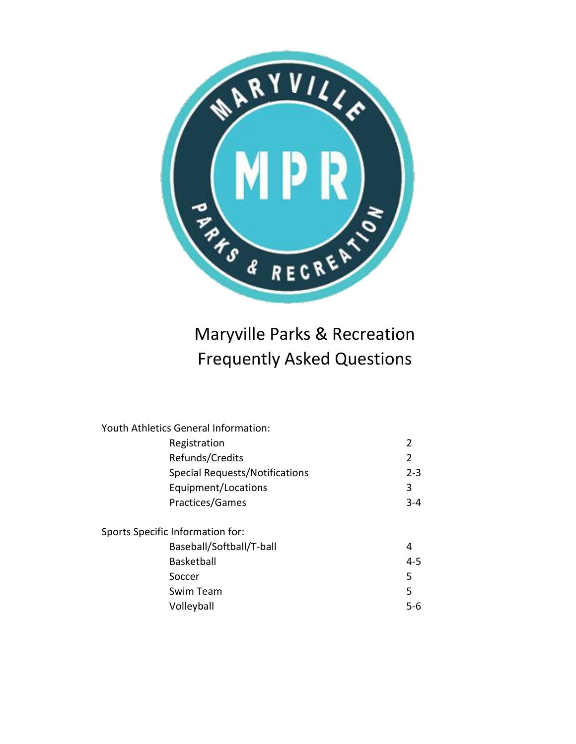

# Maryville Parks & Recreation Frequently Asked Questions

| <b>Youth Athletics General Information:</b> |  |
|---------------------------------------------|--|
| 2                                           |  |
| 2                                           |  |
| $2 - 3$                                     |  |
| 3                                           |  |
| $3 - 4$                                     |  |
|                                             |  |
| 4                                           |  |
| $4 - 5$                                     |  |
| 5                                           |  |
| 5                                           |  |
| $5 - 6$                                     |  |
|                                             |  |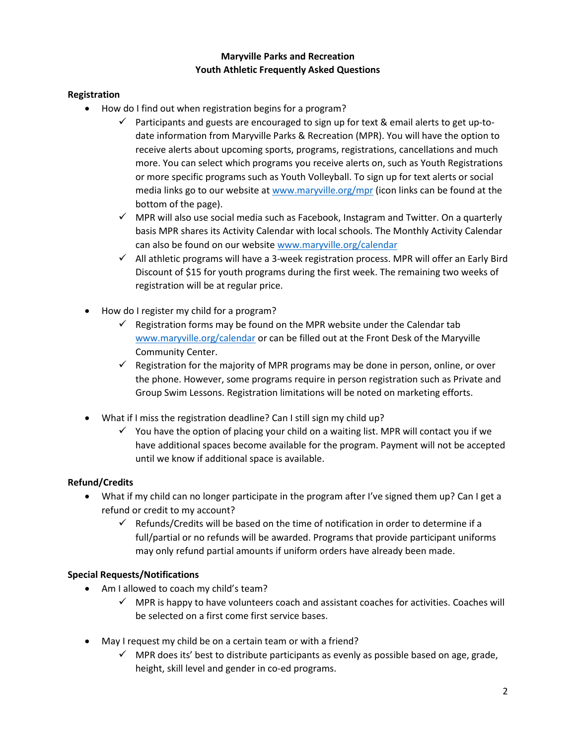## **Maryville Parks and Recreation Youth Athletic Frequently Asked Questions**

## **Registration**

- How do I find out when registration begins for a program?
	- $\checkmark$  Participants and guests are encouraged to sign up for text & email alerts to get up-todate information from Maryville Parks & Recreation (MPR). You will have the option to receive alerts about upcoming sports, programs, registrations, cancellations and much more. You can select which programs you receive alerts on, such as Youth Registrations or more specific programs such as Youth Volleyball. To sign up for text alerts or social media links go to our website at [www.maryville.org/mpr](http://www.maryville.org/mpr) (icon links can be found at the bottom of the page).
	- $\checkmark$  MPR will also use social media such as Facebook, Instagram and Twitter. On a quarterly basis MPR shares its Activity Calendar with local schools. The Monthly Activity Calendar can also be found on our website [www.maryville.org/calendar](http://www.maryville.org/calendar.aspx?categoryid=9935&id=42690&catid=506)
	- $\checkmark$  All athletic programs will have a 3-week registration process. MPR will offer an Early Bird Discount of \$15 for youth programs during the first week. The remaining two weeks of registration will be at regular price.
- How do I register my child for a program?
	- $\checkmark$  Registration forms may be found on the MPR website under the Calendar tab [www.maryville.org/calendar](http://www.maryville.org/calendar.aspx?categoryid=9935&id=42690&catid=506) or can be filled out at the Front Desk of the Maryville Community Center.
	- $\checkmark$  Registration for the majority of MPR programs may be done in person, online, or over the phone. However, some programs require in person registration such as Private and Group Swim Lessons. Registration limitations will be noted on marketing efforts.
- What if I miss the registration deadline? Can I still sign my child up?
	- $\checkmark$  You have the option of placing your child on a waiting list. MPR will contact you if we have additional spaces become available for the program. Payment will not be accepted until we know if additional space is available.

#### **Refund/Credits**

- What if my child can no longer participate in the program after I've signed them up? Can I get a refund or credit to my account?
	- $\checkmark$  Refunds/Credits will be based on the time of notification in order to determine if a full/partial or no refunds will be awarded. Programs that provide participant uniforms may only refund partial amounts if uniform orders have already been made.

#### **Special Requests/Notifications**

- Am I allowed to coach my child's team?
	- $\checkmark$  MPR is happy to have volunteers coach and assistant coaches for activities. Coaches will be selected on a first come first service bases.
- May I request my child be on a certain team or with a friend?
	- $\checkmark$  MPR does its' best to distribute participants as evenly as possible based on age, grade, height, skill level and gender in co-ed programs.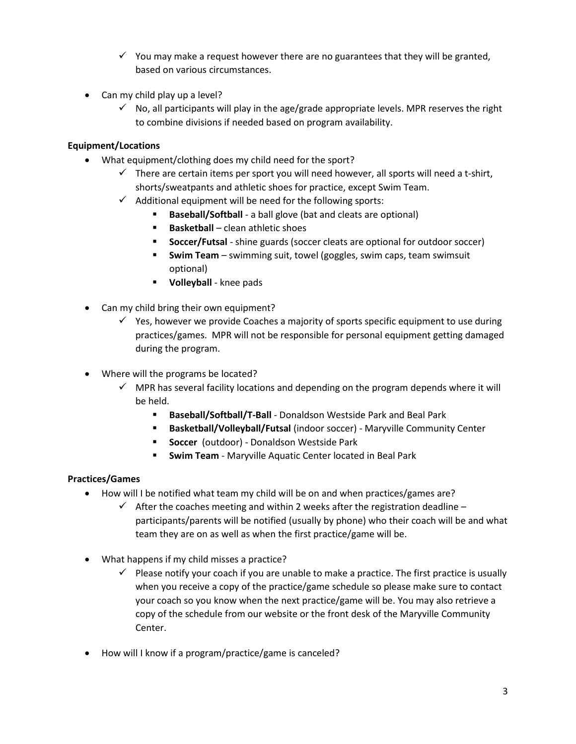- $\checkmark$  You may make a request however there are no guarantees that they will be granted, based on various circumstances.
- Can my child play up a level?
	- No, all participants will play in the age/grade appropriate levels. MPR reserves the right to combine divisions if needed based on program availability.

## **Equipment/Locations**

- What equipment/clothing does my child need for the sport?
	- $\checkmark$  There are certain items per sport you will need however, all sports will need a t-shirt, shorts/sweatpants and athletic shoes for practice, except Swim Team.
	- $\checkmark$  Additional equipment will be need for the following sports:
		- **Baseball/Softball** a ball glove (bat and cleats are optional)
		- **Basketball** clean athletic shoes
		- **Soccer/Futsal** shine guards (soccer cleats are optional for outdoor soccer)
		- **Swim Team** swimming suit, towel (goggles, swim caps, team swimsuit optional)
		- **Volleyball** knee pads
- Can my child bring their own equipment?
	- $\checkmark$  Yes, however we provide Coaches a majority of sports specific equipment to use during practices/games. MPR will not be responsible for personal equipment getting damaged during the program.
- Where will the programs be located?
	- MPR has several facility locations and depending on the program depends where it will be held.
		- **Baseball/Softball/T-Ball** Donaldson Westside Park and Beal Park
		- **Basketball/Volleyball/Futsal** (indoor soccer) Maryville Community Center
		- **Soccer** (outdoor) Donaldson Westside Park
		- **Swim Team**  Maryville Aquatic Center located in Beal Park

#### **Practices/Games**

- How will I be notified what team my child will be on and when practices/games are?
	- $\checkmark$  After the coaches meeting and within 2 weeks after the registration deadline participants/parents will be notified (usually by phone) who their coach will be and what team they are on as well as when the first practice/game will be.
- What happens if my child misses a practice?
	- $\checkmark$  Please notify your coach if you are unable to make a practice. The first practice is usually when you receive a copy of the practice/game schedule so please make sure to contact your coach so you know when the next practice/game will be. You may also retrieve a copy of the schedule from our website or the front desk of the Maryville Community Center.
- How will I know if a program/practice/game is canceled?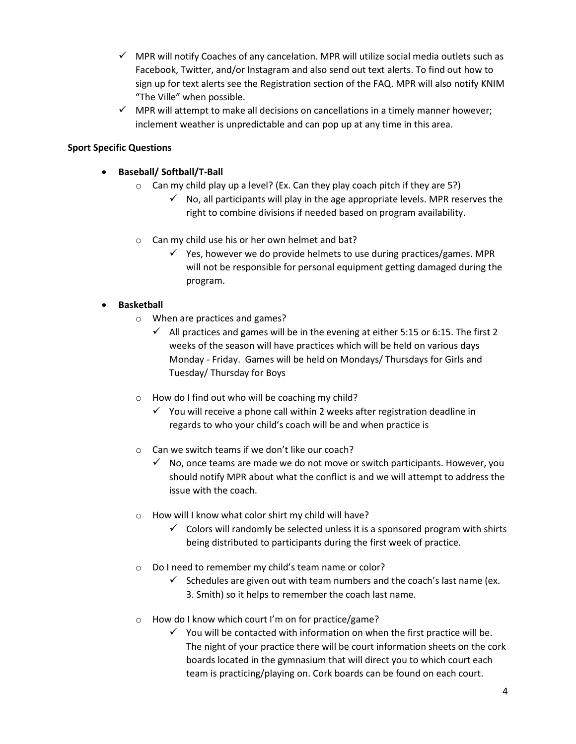- $\checkmark$  MPR will notify Coaches of any cancelation. MPR will utilize social media outlets such as Facebook, Twitter, and/or Instagram and also send out text alerts. To find out how to sign up for text alerts see the Registration section of the FAQ. MPR will also notify KNIM "The Ville" when possible.
- $\checkmark$  MPR will attempt to make all decisions on cancellations in a timely manner however; inclement weather is unpredictable and can pop up at any time in this area.

## **Sport Specific Questions**

- **Baseball/ Softball/T-Ball**
	- o Can my child play up a level? (Ex. Can they play coach pitch if they are 5?)
		- $\checkmark$  No, all participants will play in the age appropriate levels. MPR reserves the right to combine divisions if needed based on program availability.
	- o Can my child use his or her own helmet and bat?
		- $\checkmark$  Yes, however we do provide helmets to use during practices/games. MPR will not be responsible for personal equipment getting damaged during the program.

## **Basketball**

- o When are practices and games?
	- $\checkmark$  All practices and games will be in the evening at either 5:15 or 6:15. The first 2 weeks of the season will have practices which will be held on various days Monday - Friday. Games will be held on Mondays/ Thursdays for Girls and Tuesday/ Thursday for Boys
- o How do I find out who will be coaching my child?
	- $\checkmark$  You will receive a phone call within 2 weeks after registration deadline in regards to who your child's coach will be and when practice is
- o Can we switch teams if we don't like our coach?
	- $\checkmark$  No, once teams are made we do not move or switch participants. However, you should notify MPR about what the conflict is and we will attempt to address the issue with the coach.
- o How will I know what color shirt my child will have?
	- $\checkmark$  Colors will randomly be selected unless it is a sponsored program with shirts being distributed to participants during the first week of practice.
- o Do I need to remember my child's team name or color?
	- $\checkmark$  Schedules are given out with team numbers and the coach's last name (ex. 3. Smith) so it helps to remember the coach last name.
- o How do I know which court I'm on for practice/game?
	- $\checkmark$  You will be contacted with information on when the first practice will be. The night of your practice there will be court information sheets on the cork boards located in the gymnasium that will direct you to which court each team is practicing/playing on. Cork boards can be found on each court.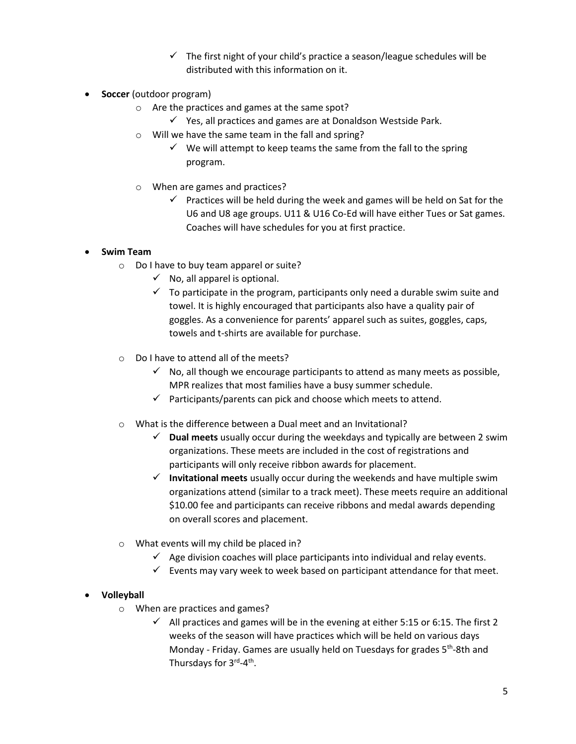- $\checkmark$  The first night of your child's practice a season/league schedules will be distributed with this information on it.
- **Soccer** (outdoor program)
	- o Are the practices and games at the same spot?
		- $\checkmark$  Yes, all practices and games are at Donaldson Westside Park.
	- o Will we have the same team in the fall and spring?
		- $\checkmark$  We will attempt to keep teams the same from the fall to the spring program.
	- o When are games and practices?
		- $\checkmark$  Practices will be held during the week and games will be held on Sat for the U6 and U8 age groups. U11 & U16 Co-Ed will have either Tues or Sat games. Coaches will have schedules for you at first practice.

#### **Swim Team**

- o Do I have to buy team apparel or suite?
	- $\checkmark$  No, all apparel is optional.
	- $\checkmark$  To participate in the program, participants only need a durable swim suite and towel. It is highly encouraged that participants also have a quality pair of goggles. As a convenience for parents' apparel such as suites, goggles, caps, towels and t-shirts are available for purchase.
- o Do I have to attend all of the meets?
	- $\checkmark$  No, all though we encourage participants to attend as many meets as possible, MPR realizes that most families have a busy summer schedule.
	- $\checkmark$  Participants/parents can pick and choose which meets to attend.
- o What is the difference between a Dual meet and an Invitational?
	- **Dual meets** usually occur during the weekdays and typically are between 2 swim organizations. These meets are included in the cost of registrations and participants will only receive ribbon awards for placement.
	- $\checkmark$  Invitational meets usually occur during the weekends and have multiple swim organizations attend (similar to a track meet). These meets require an additional \$10.00 fee and participants can receive ribbons and medal awards depending on overall scores and placement.
- o What events will my child be placed in?
	- $\checkmark$  Age division coaches will place participants into individual and relay events.
	- $\checkmark$  Events may vary week to week based on participant attendance for that meet.

## **Volleyball**

- o When are practices and games?
	- $\checkmark$  All practices and games will be in the evening at either 5:15 or 6:15. The first 2 weeks of the season will have practices which will be held on various days Monday - Friday. Games are usually held on Tuesdays for grades 5<sup>th</sup>-8th and Thursdays for 3<sup>rd</sup>-4<sup>th</sup>.